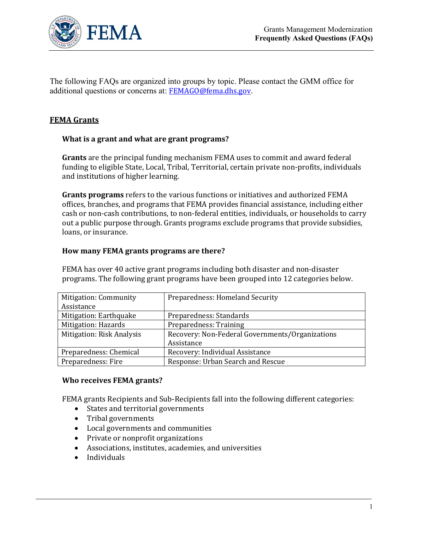

The following FAQs are organized into groups by topic. Please contact the GMM office for additional questions or concerns at: [FEMAGO@fema.dhs.gov](mailto:FEMAGO@fema.dhs.gov).

## **FEMA Grants**

## **What is a grant and what are grant programs?**

**Grants** are the principal funding mechanism FEMA uses to commit and award federal funding to eligible State, Local, Tribal, Territorial, certain private non-profits, individuals and institutions of higher learning.

**Grants programs** refers to the various functions or initiatives and authorized FEMA offices, branches, and programs that FEMA provides financial assistance, including either cash or non-cash contributions, to non-federal entities, individuals, or households to carry out a public purpose through. Grants programs exclude programs that provide subsidies, loans, or insurance.

## **How many FEMA grants programs are there?**

FEMA has over 40 active grant programs including both disaster and non-disaster programs. The following grant programs have been grouped into 12 categories below.

| <b>Mitigation: Community</b>     | Preparedness: Homeland Security                 |
|----------------------------------|-------------------------------------------------|
| Assistance                       |                                                 |
| Mitigation: Earthquake           | Preparedness: Standards                         |
| Mitigation: Hazards              | Preparedness: Training                          |
| <b>Mitigation: Risk Analysis</b> | Recovery: Non-Federal Governments/Organizations |
|                                  | Assistance                                      |
| Preparedness: Chemical           | Recovery: Individual Assistance                 |
| Preparedness: Fire               | Response: Urban Search and Rescue               |

#### **Who receives FEMA grants?**

FEMA grants Recipients and Sub-Recipients fall into the following different categories:

- States and territorial governments
- Tribal governments
- Local governments and communities
- Private or nonprofit organizations
- Associations, institutes, academies, and universities
- Individuals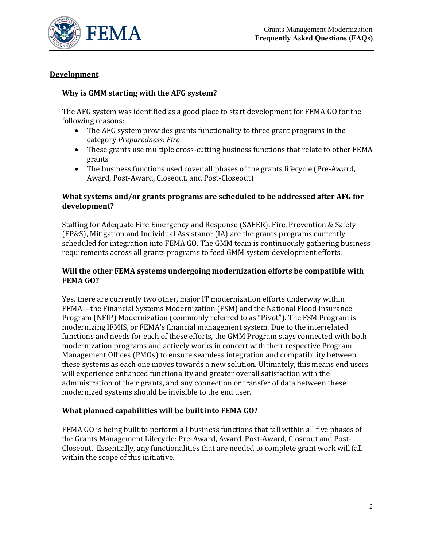

## **Development**

## **Why is GMM starting with the AFG system?**

The AFG system was identified as a good place to start development for FEMA GO for the following reasons:

- The AFG system provides grants functionality to three grant programs in the category *Preparedness: Fire*
- These grants use multiple cross-cutting business functions that relate to other FEMA grants
- The business functions used cover all phases of the grants lifecycle (Pre-Award, Award, Post-Award, Closeout, and Post-Closeout)

## **What systems and/or grants programs are scheduled to be addressed after AFG for development?**

Staffing for Adequate Fire Emergency and Response (SAFER), Fire, Prevention & Safety (FP&S), Mitigation and Individual Assistance (IA) are the grants programs currently scheduled for integration into FEMA GO. The GMM team is continuously gathering business requirements across all grants programs to feed GMM system development efforts.

## **Will the other FEMA systems undergoing modernization efforts be compatible with FEMA GO?**

Yes, there are currently two other, major IT modernization efforts underway within FEMA—the Financial Systems Modernization (FSM) and the National Flood Insurance Program (NFIP) Modernization (commonly referred to as "Pivot"). The FSM Program is modernizing IFMIS, or FEMA's financial management system. Due to the interrelated functions and needs for each of these efforts, the GMM Program stays connected with both modernization programs and actively works in concert with their respective Program Management Offices (PMOs) to ensure seamless integration and compatibility between these systems as each one moves towards a new solution. Ultimately, this means end users will experience enhanced functionality and greater overall satisfaction with the administration of their grants, and any connection or transfer of data between these modernized systems should be invisible to the end user.

## **What planned capabilities will be built into FEMA GO?**

FEMA GO is being built to perform all business functions that fall within all five phases of the Grants Management Lifecycle: Pre-Award, Award, Post-Award, Closeout and Post-Closeout. Essentially, any functionalities that are needed to complete grant work will fall within the scope of this initiative.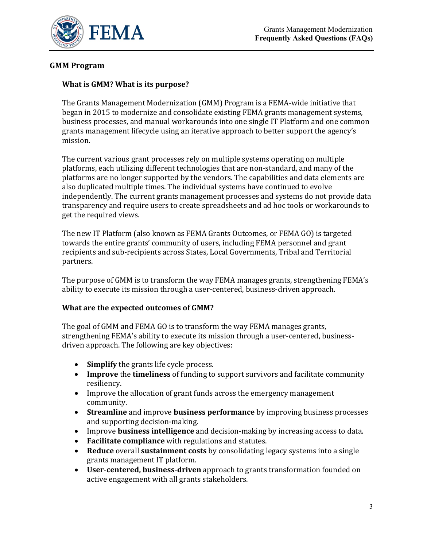

# **GMM Program**

### **What is GMM? What is its purpose?**

The Grants Management Modernization (GMM) Program is a FEMA-wide initiative that began in 2015 to modernize and consolidate existing FEMA grants management systems, business processes, and manual workarounds into one single IT Platform and one common grants management lifecycle using an iterative approach to better support the agency's mission.

The current various grant processes rely on multiple systems operating on multiple platforms, each utilizing different technologies that are non-standard, and many of the platforms are no longer supported by the vendors. The capabilities and data elements are also duplicated multiple times. The individual systems have continued to evolve independently. The current grants management processes and systems do not provide data transparency and require users to create spreadsheets and ad hoc tools or workarounds to get the required views.

The new IT Platform (also known as FEMA Grants Outcomes, or FEMA GO) is targeted towards the entire grants' community of users, including FEMA personnel and grant recipients and sub-recipients across States, Local Governments, Tribal and Territorial partners.

The purpose of GMM is to transform the way FEMA manages grants, strengthening FEMA's ability to execute its mission through a user-centered, business-driven approach.

#### **What are the expected outcomes of GMM?**

The goal of GMM and FEMA GO is to transform the way FEMA manages grants, strengthening FEMA's ability to execute its mission through a user-centered, businessdriven approach. The following are key objectives:

- **Simplify** the grants life cycle process.
- **Improve** the **timeliness** of funding to support survivors and facilitate community resiliency.
- Improve the allocation of grant funds across the emergency management community.
- **Streamline** and improve **business performance** by improving business processes and supporting decision-making.
- Improve **business intelligence** and decision-making by increasing access to data.
- **Facilitate compliance** with regulations and statutes.
- **Reduce** overall **sustainment costs** by consolidating legacy systems into a single grants management IT platform.
- **User-centered, business-driven** approach to grants transformation founded on active engagement with all grants stakeholders.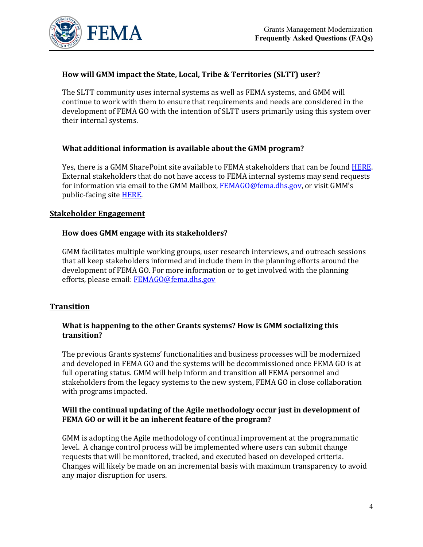

## **How will GMM impact the State, Local, Tribe & Territories (SLTT) user?**

The SLTT community uses internal systems as well as FEMA systems, and GMM will continue to work with them to ensure that requirements and needs are considered in the development of FEMA GO with the intention of SLTT users primarily using this system over their internal systems.

## **What additional information is available about the GMM program?**

Yes, there is a GMM SharePoint site available to FEMA stakeholders that can be found **HERE**. External stakeholders that do not have access to FEMA internal systems may send requests for information via email to the GMM Mailbox, **FEMAGO@fema.dhs.gov**, or visit GMM's public-facing site [HERE.](https://www.fema.gov/grants-management-modernization-program)

## **Stakeholder Engagement**

## **How does GMM engage with its stakeholders?**

GMM facilitates multiple working groups, user research interviews, and outreach sessions that all keep stakeholders informed and include them in the planning efforts around the development of FEMA GO. For more information or to get involved with the planning efforts, please email: [FEMAGO@fema.dhs.gov](mailto:FEMAGO@fema.dhs.gov)

## **Transition**

#### **What is happening to the other Grants systems? How is GMM socializing this transition?**

The previous Grants systems' functionalities and business processes will be modernized and developed in FEMA GO and the systems will be decommissioned once FEMA GO is at full operating status. GMM will help inform and transition all FEMA personnel and stakeholders from the legacy systems to the new system, FEMA GO in close collaboration with programs impacted.

## **Will the continual updating of the Agile methodology occur just in development of FEMA GO or will it be an inherent feature of the program?**

GMM is adopting the Agile methodology of continual improvement at the programmatic level. A change control process will be implemented where users can submit change requests that will be monitored, tracked, and executed based on developed criteria. Changes will likely be made on an incremental basis with maximum transparency to avoid any major disruption for users.